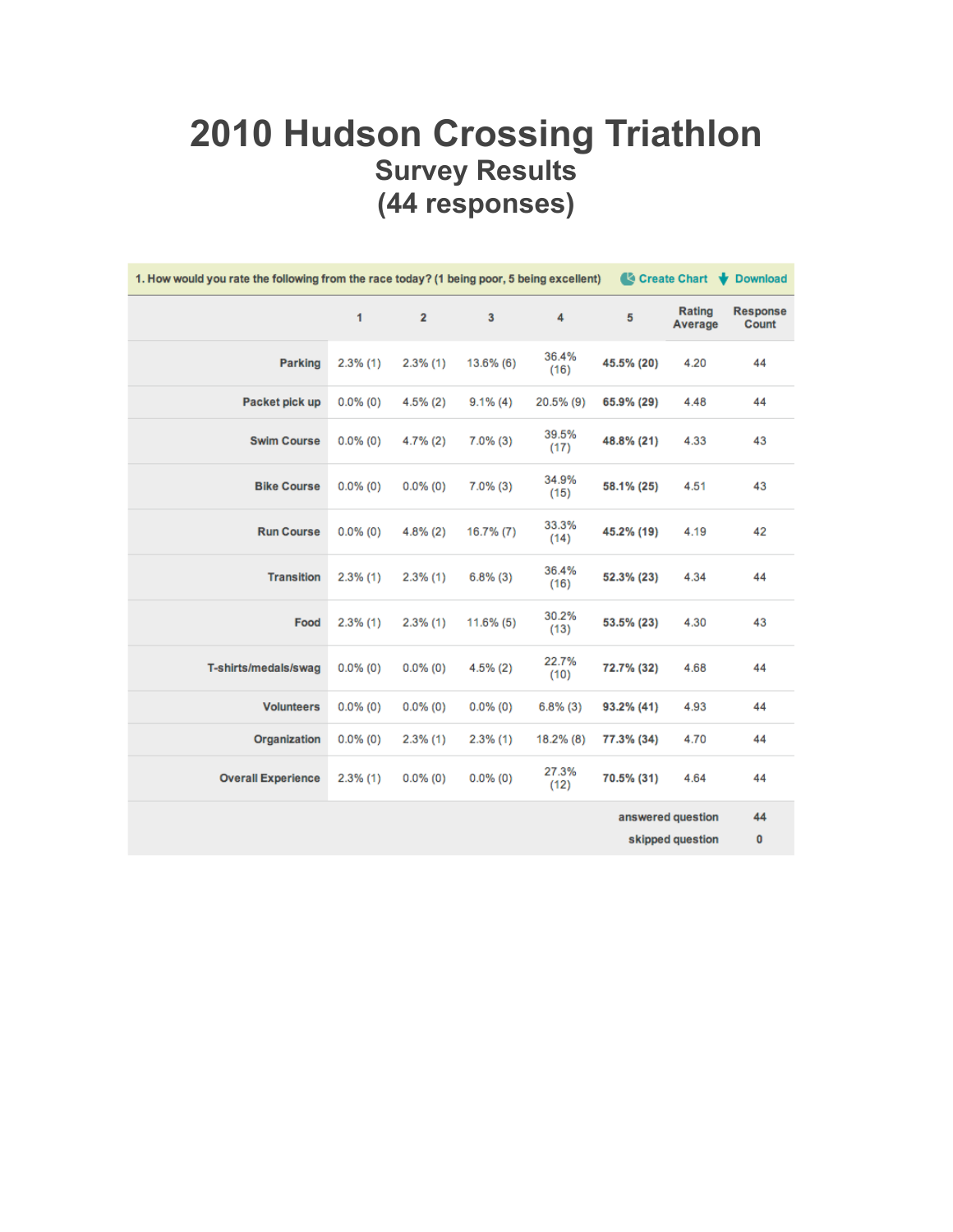#### **2010 Hudson Crossing Triathlon Survey Results (44 responses)**

| 1. How would you rate the following from the race today? (1 being poor, 5 being excellent)<br>Create Chart V Download |             |                |                         |               |                                       |                   |                          |
|-----------------------------------------------------------------------------------------------------------------------|-------------|----------------|-------------------------|---------------|---------------------------------------|-------------------|--------------------------|
|                                                                                                                       | 1           | $\overline{2}$ | $\overline{\mathbf{3}}$ | 4             | 5                                     | Rating<br>Average | <b>Response</b><br>Count |
| <b>Parking</b>                                                                                                        | $2.3\%$ (1) | $2.3\%$ (1)    | $13.6\%$ (6)            | 36.4%<br>(16) | 45.5% (20)                            | 4.20              | 44                       |
| Packet pick up                                                                                                        | $0.0\%$ (0) | $4.5\%(2)$     | $9.1\%$ (4)             | 20.5% (9)     | 65.9% (29)                            | 4.48              | 44                       |
| <b>Swim Course</b>                                                                                                    | $0.0\%$ (0) | $4.7\%(2)$     | $7.0\%$ (3)             | 39.5%<br>(17) | 48.8% (21)                            | 4.33              | 43                       |
| <b>Bike Course</b>                                                                                                    | $0.0\%$ (0) | $0.0\%$ (0)    | $7.0\%$ (3)             | 34.9%<br>(15) | 58.1% (25)                            | 4.51              | 43                       |
| <b>Run Course</b>                                                                                                     | $0.0\%$ (0) | $4.8\%(2)$     | $16.7\%(7)$             | 33.3%<br>(14) | 45.2% (19)                            | 4.19              | 42                       |
| <b>Transition</b>                                                                                                     | $2.3\%$ (1) | $2.3\%$ (1)    | $6.8\%$ (3)             | 36.4%<br>(16) | 52.3% (23)                            | 4.34              | 44                       |
| Food                                                                                                                  | $2.3\%$ (1) | $2.3\%$ (1)    | $11.6\%$ (5)            | 30.2%<br>(13) | 53.5% (23)                            | 4.30              | 43                       |
| T-shirts/medals/swag                                                                                                  | $0.0\%$ (0) | $0.0\%$ (0)    | $4.5\%$ (2)             | 22.7%<br>(10) | 72.7% (32)                            | 4.68              | 44                       |
| <b>Volunteers</b>                                                                                                     | $0.0\%$ (0) | $0.0\%$ (0)    | $0.0\%$ (0)             | $6.8\%$ (3)   | 93.2% (41)                            | 4.93              | 44                       |
| Organization                                                                                                          | $0.0\%$ (0) | $2.3\%$ (1)    | $2.3\%$ (1)             | 18.2% (8)     | 77.3% (34)                            | 4.70              | 44                       |
| <b>Overall Experience</b>                                                                                             | $2.3\%$ (1) | $0.0\%$ (0)    | $0.0\%$ (0)             | 27.3%<br>(12) | 70.5% (31)                            | 4.64              | 44                       |
|                                                                                                                       |             |                |                         |               | answered question<br>skipped question |                   | 44<br>0                  |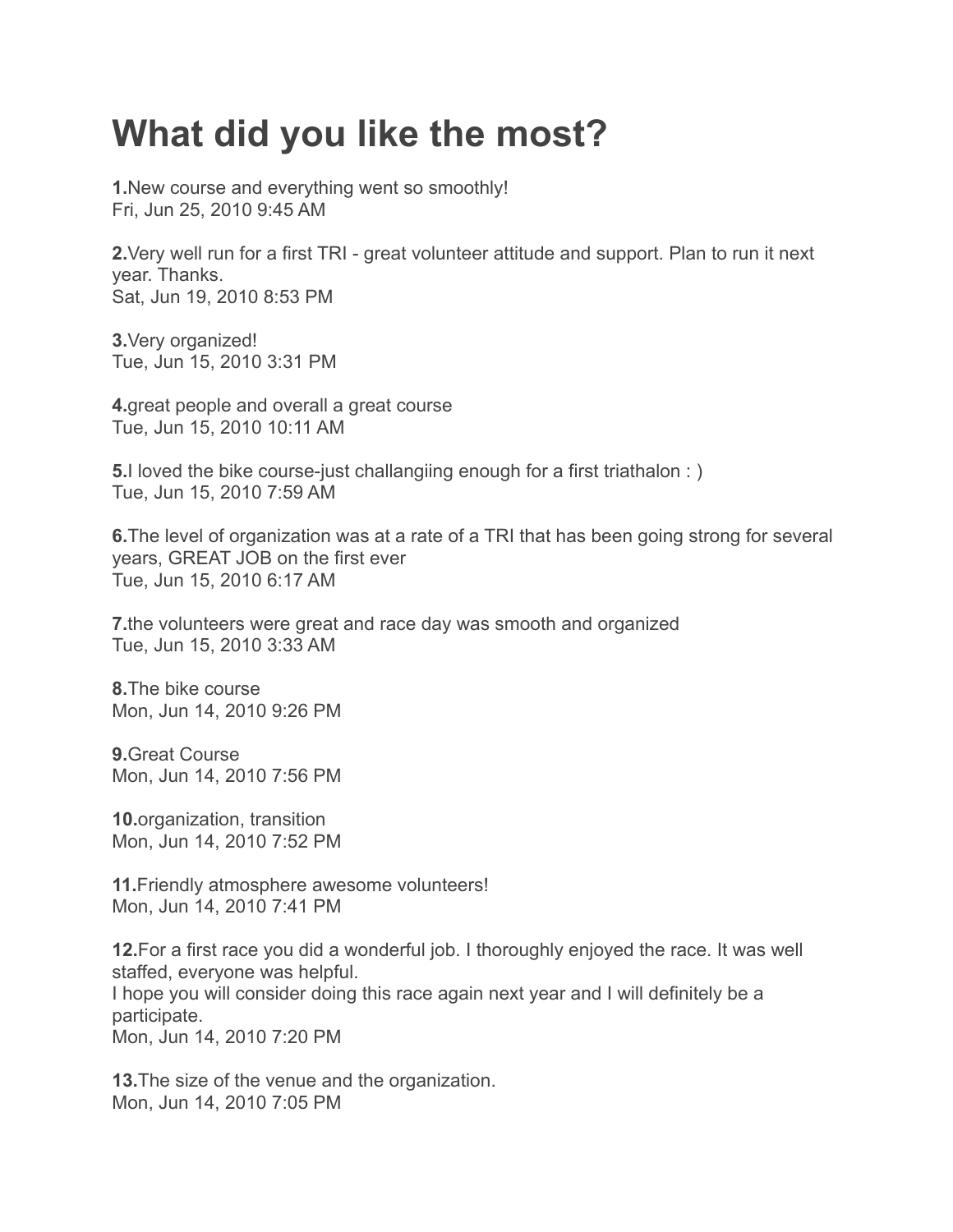### **What did you like the most?**

**1.**New course and everything went so smoothly! Fri, Jun 25, 2010 9:45 AM

**2.**Very well run for a first TRI - great volunteer attitude and support. Plan to run it next year. Thanks. Sat, Jun 19, 2010 8:53 PM

**3.**Very organized! Tue, Jun 15, 2010 3:31 PM

**4.**great people and overall a great course Tue, Jun 15, 2010 10:11 AM

**5.** I loved the bike course-just challangiing enough for a first triathalon : ) Tue, Jun 15, 2010 7:59 AM

**6.**The level of organization was at a rate of a TRI that has been going strong for several years, GREAT JOB on the first ever Tue, Jun 15, 2010 6:17 AM

**7.**the volunteers were great and race day was smooth and organized Tue, Jun 15, 2010 3:33 AM

**8.**The bike course Mon, Jun 14, 2010 9:26 PM

**9.**Great Course Mon, Jun 14, 2010 7:56 PM

**10.**organization, transition Mon, Jun 14, 2010 7:52 PM

**11.**Friendly atmosphere awesome volunteers! Mon, Jun 14, 2010 7:41 PM

**12.**For a first race you did a wonderful job. I thoroughly enjoyed the race. It was well staffed, everyone was helpful. I hope you will consider doing this race again next year and I will definitely be a participate. Mon, Jun 14, 2010 7:20 PM

**13.**The size of the venue and the organization. Mon, Jun 14, 2010 7:05 PM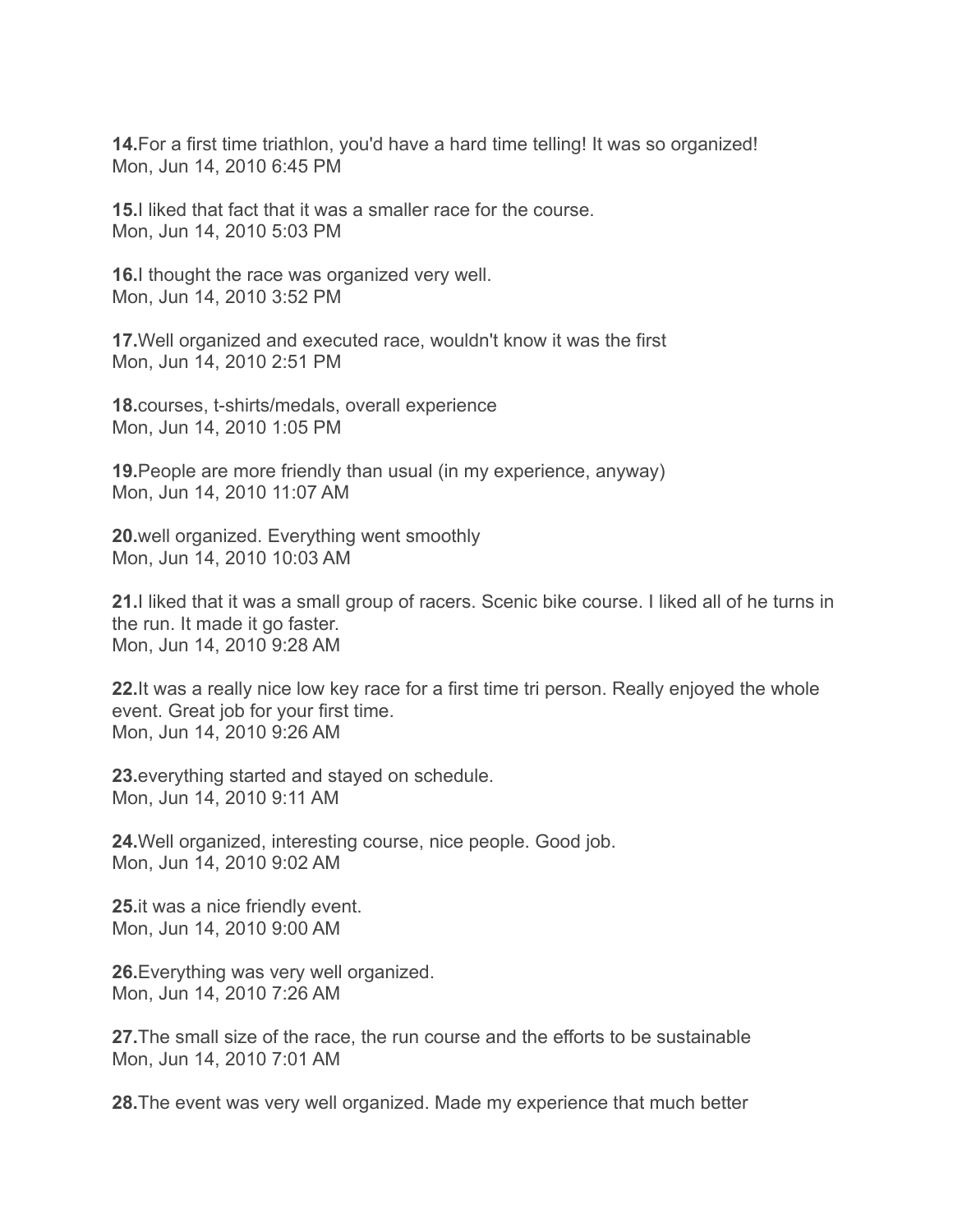**14.**For a first time triathlon, you'd have a hard time telling! It was so organized! Mon, Jun 14, 2010 6:45 PM

**15.**I liked that fact that it was a smaller race for the course. Mon, Jun 14, 2010 5:03 PM

**16.**I thought the race was organized very well. Mon, Jun 14, 2010 3:52 PM

**17.**Well organized and executed race, wouldn't know it was the first Mon, Jun 14, 2010 2:51 PM

**18.**courses, t-shirts/medals, overall experience Mon, Jun 14, 2010 1:05 PM

**19.**People are more friendly than usual (in my experience, anyway) Mon, Jun 14, 2010 11:07 AM

**20.**well organized. Everything went smoothly Mon, Jun 14, 2010 10:03 AM

**21.**I liked that it was a small group of racers. Scenic bike course. I liked all of he turns in the run. It made it go faster. Mon, Jun 14, 2010 9:28 AM

**22.**It was a really nice low key race for a first time tri person. Really enjoyed the whole event. Great job for your first time. Mon, Jun 14, 2010 9:26 AM

**23.**everything started and stayed on schedule. Mon, Jun 14, 2010 9:11 AM

**24.**Well organized, interesting course, nice people. Good job. Mon, Jun 14, 2010 9:02 AM

**25.**it was a nice friendly event. Mon, Jun 14, 2010 9:00 AM

**26.**Everything was very well organized. Mon, Jun 14, 2010 7:26 AM

**27.**The small size of the race, the run course and the efforts to be sustainable Mon, Jun 14, 2010 7:01 AM

**28.**The event was very well organized. Made my experience that much better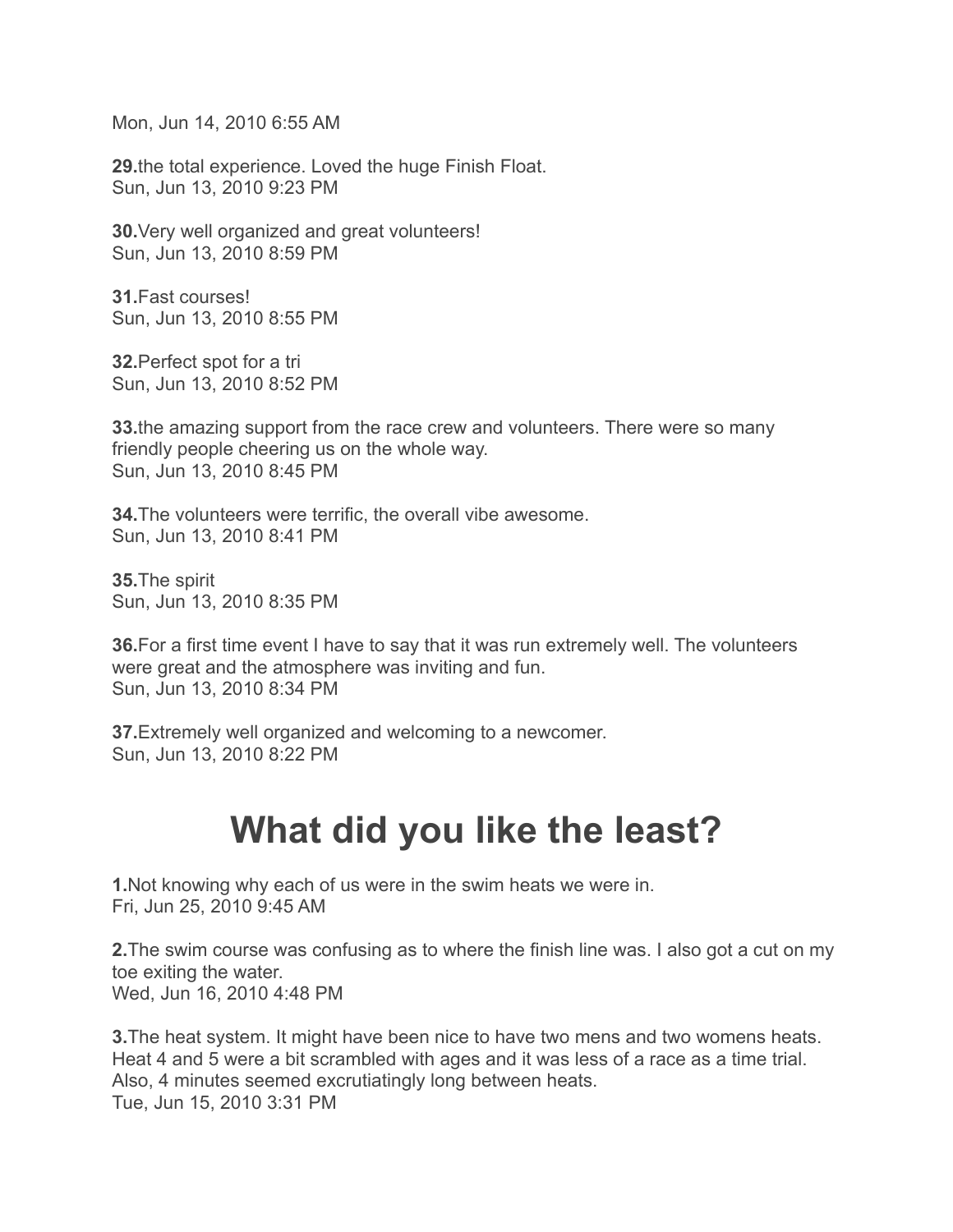Mon, Jun 14, 2010 6:55 AM

**29.**the total experience. Loved the huge Finish Float. Sun, Jun 13, 2010 9:23 PM

**30.**Very well organized and great volunteers! Sun, Jun 13, 2010 8:59 PM

**31.**Fast courses! Sun, Jun 13, 2010 8:55 PM

**32.**Perfect spot for a tri Sun, Jun 13, 2010 8:52 PM

**33.**the amazing support from the race crew and volunteers. There were so many friendly people cheering us on the whole way. Sun, Jun 13, 2010 8:45 PM

**34.**The volunteers were terrific, the overall vibe awesome. Sun, Jun 13, 2010 8:41 PM

**35.**The spirit Sun, Jun 13, 2010 8:35 PM

**36.**For a first time event I have to say that it was run extremely well. The volunteers were great and the atmosphere was inviting and fun. Sun, Jun 13, 2010 8:34 PM

**37.**Extremely well organized and welcoming to a newcomer. Sun, Jun 13, 2010 8:22 PM

### **What did you like the least?**

**1.**Not knowing why each of us were in the swim heats we were in. Fri, Jun 25, 2010 9:45 AM

**2.**The swim course was confusing as to where the finish line was. I also got a cut on my toe exiting the water. Wed, Jun 16, 2010 4:48 PM

**3.**The heat system. It might have been nice to have two mens and two womens heats. Heat 4 and 5 were a bit scrambled with ages and it was less of a race as a time trial. Also, 4 minutes seemed excrutiatingly long between heats. Tue, Jun 15, 2010 3:31 PM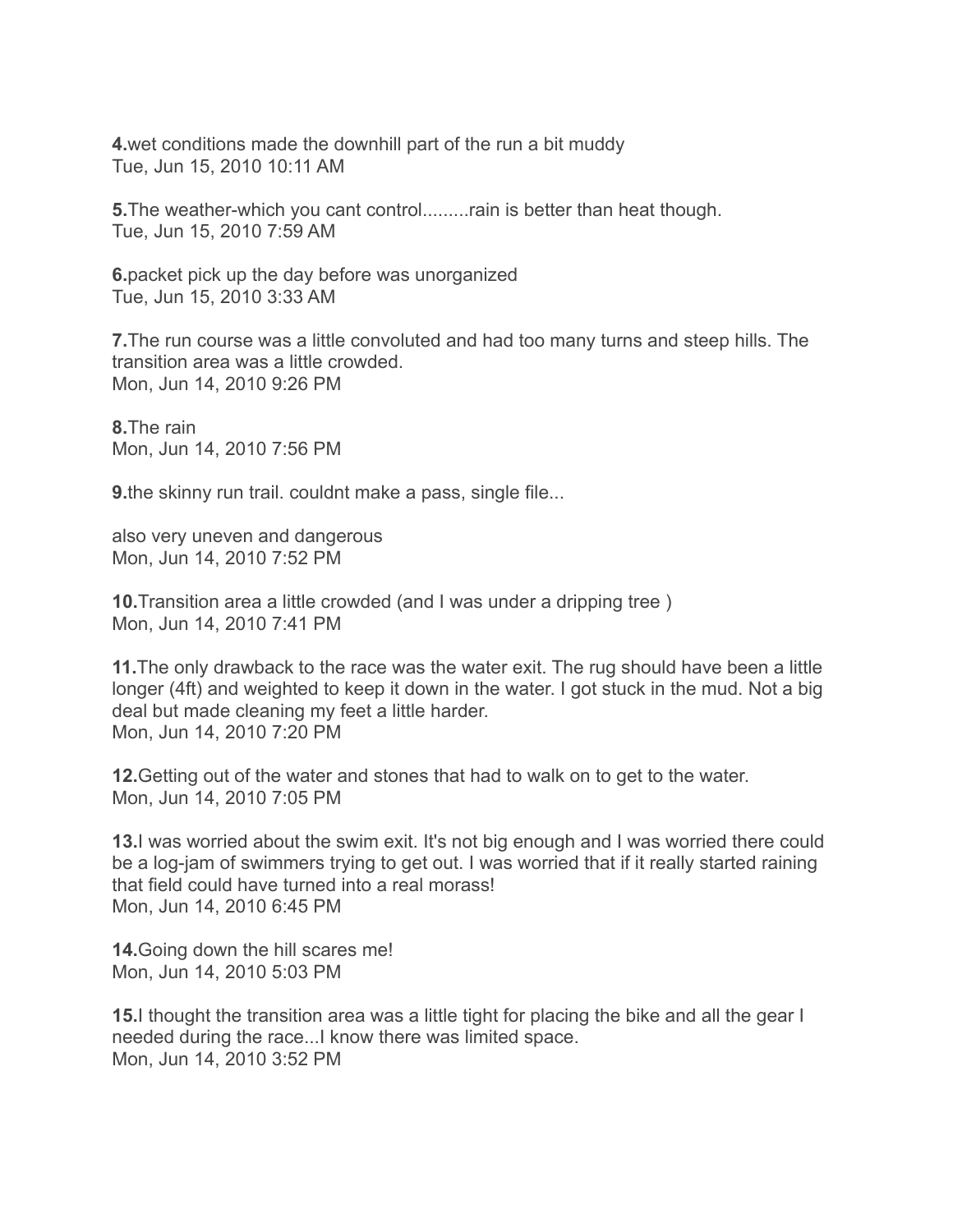**4.**wet conditions made the downhill part of the run a bit muddy Tue, Jun 15, 2010 10:11 AM

**5.**The weather-which you cant control.........rain is better than heat though. Tue, Jun 15, 2010 7:59 AM

**6.**packet pick up the day before was unorganized Tue, Jun 15, 2010 3:33 AM

**7.**The run course was a little convoluted and had too many turns and steep hills. The transition area was a little crowded. Mon, Jun 14, 2010 9:26 PM

**8.**The rain Mon, Jun 14, 2010 7:56 PM

**9.**the skinny run trail. couldnt make a pass, single file...

also very uneven and dangerous Mon, Jun 14, 2010 7:52 PM

**10.**Transition area a little crowded (and I was under a dripping tree ) Mon, Jun 14, 2010 7:41 PM

**11.**The only drawback to the race was the water exit. The rug should have been a little longer (4ft) and weighted to keep it down in the water. I got stuck in the mud. Not a big deal but made cleaning my feet a little harder. Mon, Jun 14, 2010 7:20 PM

**12.**Getting out of the water and stones that had to walk on to get to the water. Mon, Jun 14, 2010 7:05 PM

**13.**I was worried about the swim exit. It's not big enough and I was worried there could be a log-jam of swimmers trying to get out. I was worried that if it really started raining that field could have turned into a real morass! Mon, Jun 14, 2010 6:45 PM

**14.**Going down the hill scares me! Mon, Jun 14, 2010 5:03 PM

**15.**I thought the transition area was a little tight for placing the bike and all the gear I needed during the race...I know there was limited space. Mon, Jun 14, 2010 3:52 PM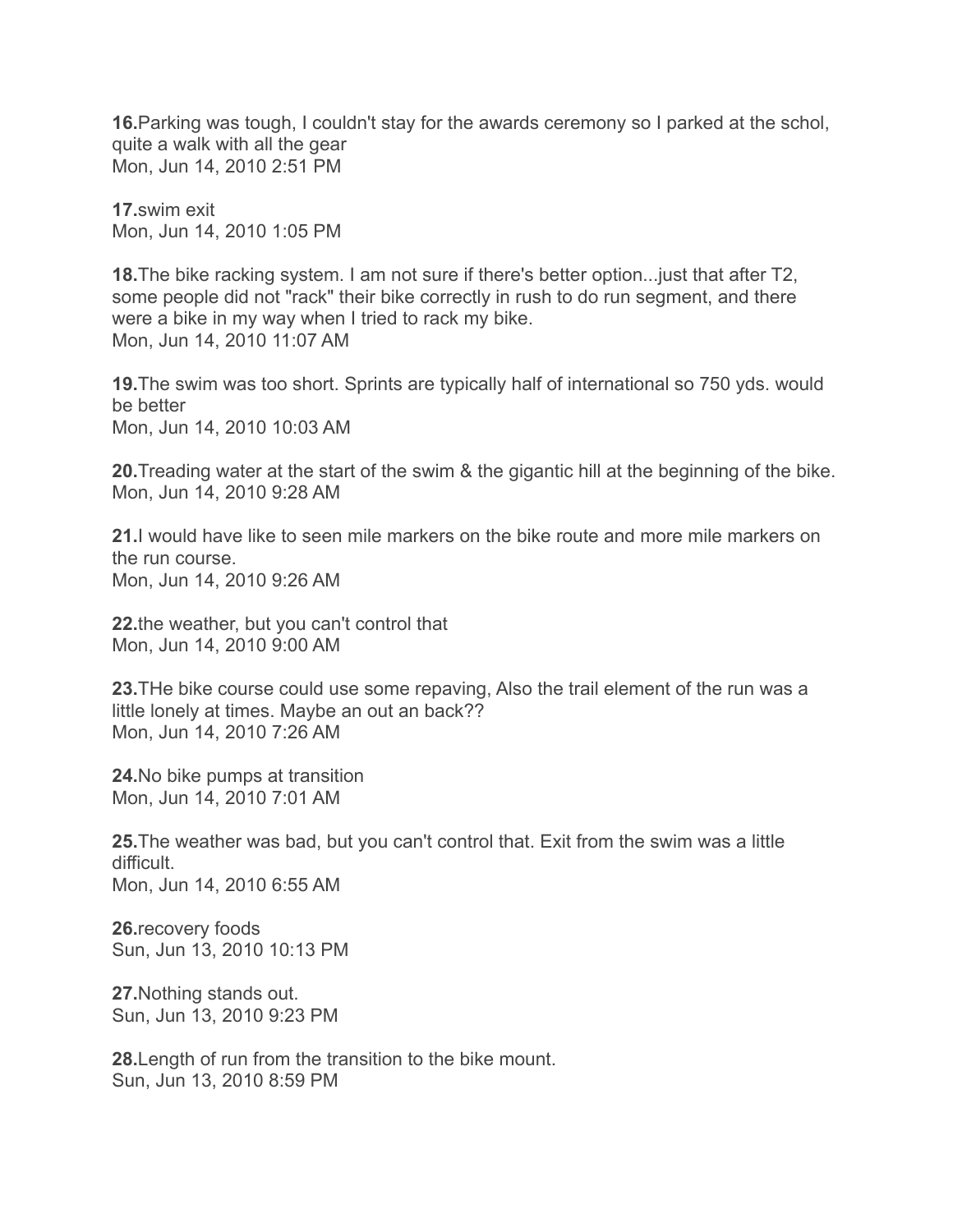**16.**Parking was tough, I couldn't stay for the awards ceremony so I parked at the schol, quite a walk with all the gear Mon, Jun 14, 2010 2:51 PM

**17.**swim exit Mon, Jun 14, 2010 1:05 PM

**18.**The bike racking system. I am not sure if there's better option...just that after T2, some people did not "rack" their bike correctly in rush to do run segment, and there were a bike in my way when I tried to rack my bike. Mon, Jun 14, 2010 11:07 AM

**19.**The swim was too short. Sprints are typically half of international so 750 yds. would be better Mon, Jun 14, 2010 10:03 AM

**20.**Treading water at the start of the swim & the gigantic hill at the beginning of the bike. Mon, Jun 14, 2010 9:28 AM

**21.**I would have like to seen mile markers on the bike route and more mile markers on the run course. Mon, Jun 14, 2010 9:26 AM

**22.**the weather, but you can't control that Mon, Jun 14, 2010 9:00 AM

**23.**THe bike course could use some repaving, Also the trail element of the run was a little lonely at times. Maybe an out an back?? Mon, Jun 14, 2010 7:26 AM

**24.**No bike pumps at transition Mon, Jun 14, 2010 7:01 AM

**25.**The weather was bad, but you can't control that. Exit from the swim was a little difficult. Mon, Jun 14, 2010 6:55 AM

**26.**recovery foods Sun, Jun 13, 2010 10:13 PM

**27.**Nothing stands out. Sun, Jun 13, 2010 9:23 PM

**28.**Length of run from the transition to the bike mount. Sun, Jun 13, 2010 8:59 PM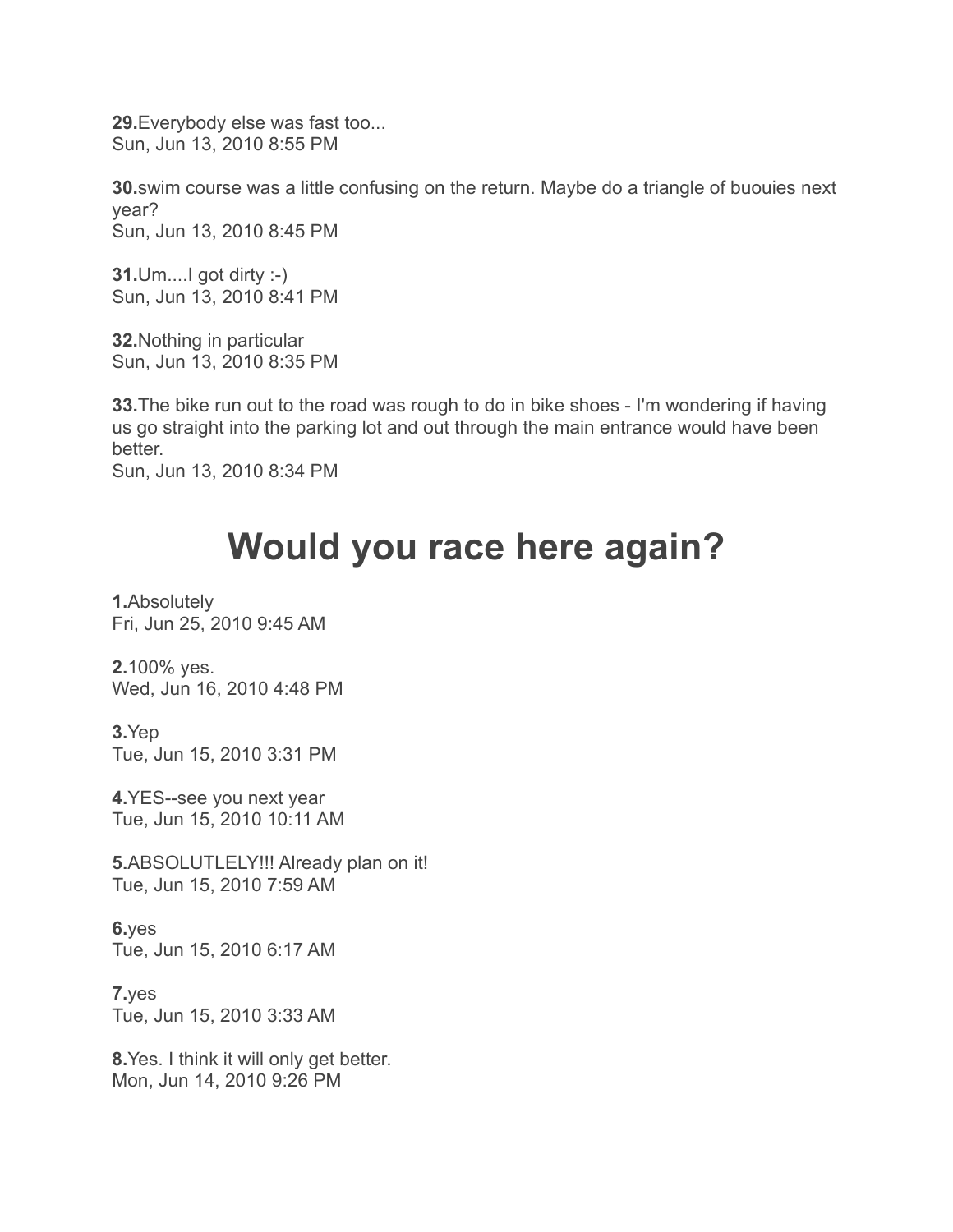**29.**Everybody else was fast too... Sun, Jun 13, 2010 8:55 PM

**30.**swim course was a little confusing on the return. Maybe do a triangle of buouies next year? Sun, Jun 13, 2010 8:45 PM

**31.**Um....I got dirty :-) Sun, Jun 13, 2010 8:41 PM

**32.**Nothing in particular Sun, Jun 13, 2010 8:35 PM

**33.**The bike run out to the road was rough to do in bike shoes - I'm wondering if having us go straight into the parking lot and out through the main entrance would have been better.

Sun, Jun 13, 2010 8:34 PM

# **Would you race here again?**

**1.**Absolutely Fri, Jun 25, 2010 9:45 AM

**2.**100% yes. Wed, Jun 16, 2010 4:48 PM

**3.**Yep Tue, Jun 15, 2010 3:31 PM

**4.**YES--see you next year Tue, Jun 15, 2010 10:11 AM

**5.**ABSOLUTLELY!!! Already plan on it! Tue, Jun 15, 2010 7:59 AM

**6.**yes Tue, Jun 15, 2010 6:17 AM

**7.**yes Tue, Jun 15, 2010 3:33 AM

**8.**Yes. I think it will only get better. Mon, Jun 14, 2010 9:26 PM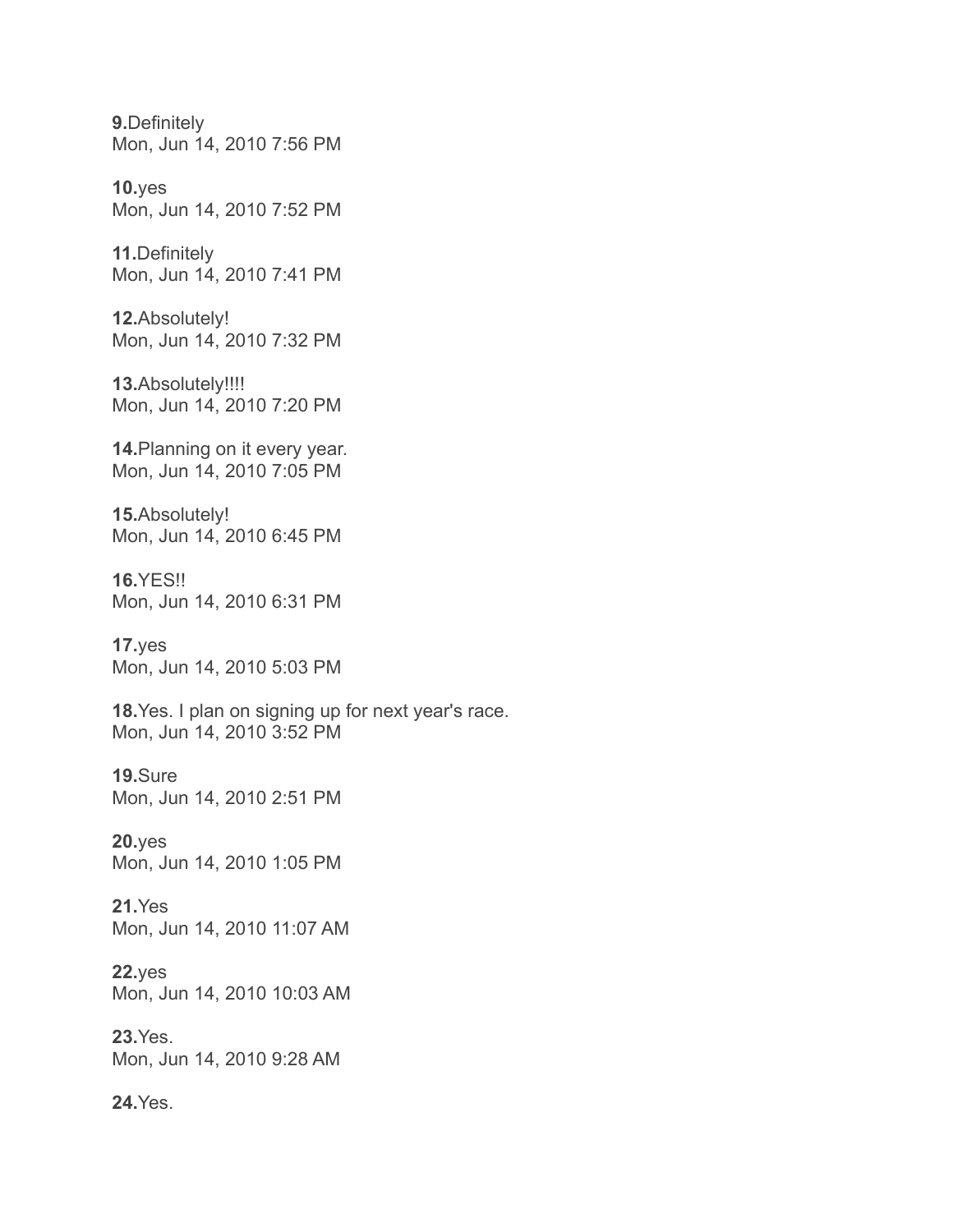**9.**Definitely Mon, Jun 14, 2010 7:56 PM

**10.**yes Mon, Jun 14, 2010 7:52 PM

**11.**Definitely Mon, Jun 14, 2010 7:41 PM

**12.**Absolutely! Mon, Jun 14, 2010 7:32 PM

**13.**Absolutely!!!! Mon, Jun 14, 2010 7:20 PM

**14.**Planning on it every year. Mon, Jun 14, 2010 7:05 PM

**15.**Absolutely! Mon, Jun 14, 2010 6:45 PM

**16.**YES!! Mon, Jun 14, 2010 6:31 PM

**17.**yes Mon, Jun 14, 2010 5:03 PM

**18.**Yes. I plan on signing up for next year's race. Mon, Jun 14, 2010 3:52 PM

**19.**Sure Mon, Jun 14, 2010 2:51 PM

**20.**yes Mon, Jun 14, 2010 1:05 PM

**21.**Yes Mon, Jun 14, 2010 11:07 AM

**22.**yes Mon, Jun 14, 2010 10:03 AM

**23.**Yes. Mon, Jun 14, 2010 9:28 AM

**24.**Yes.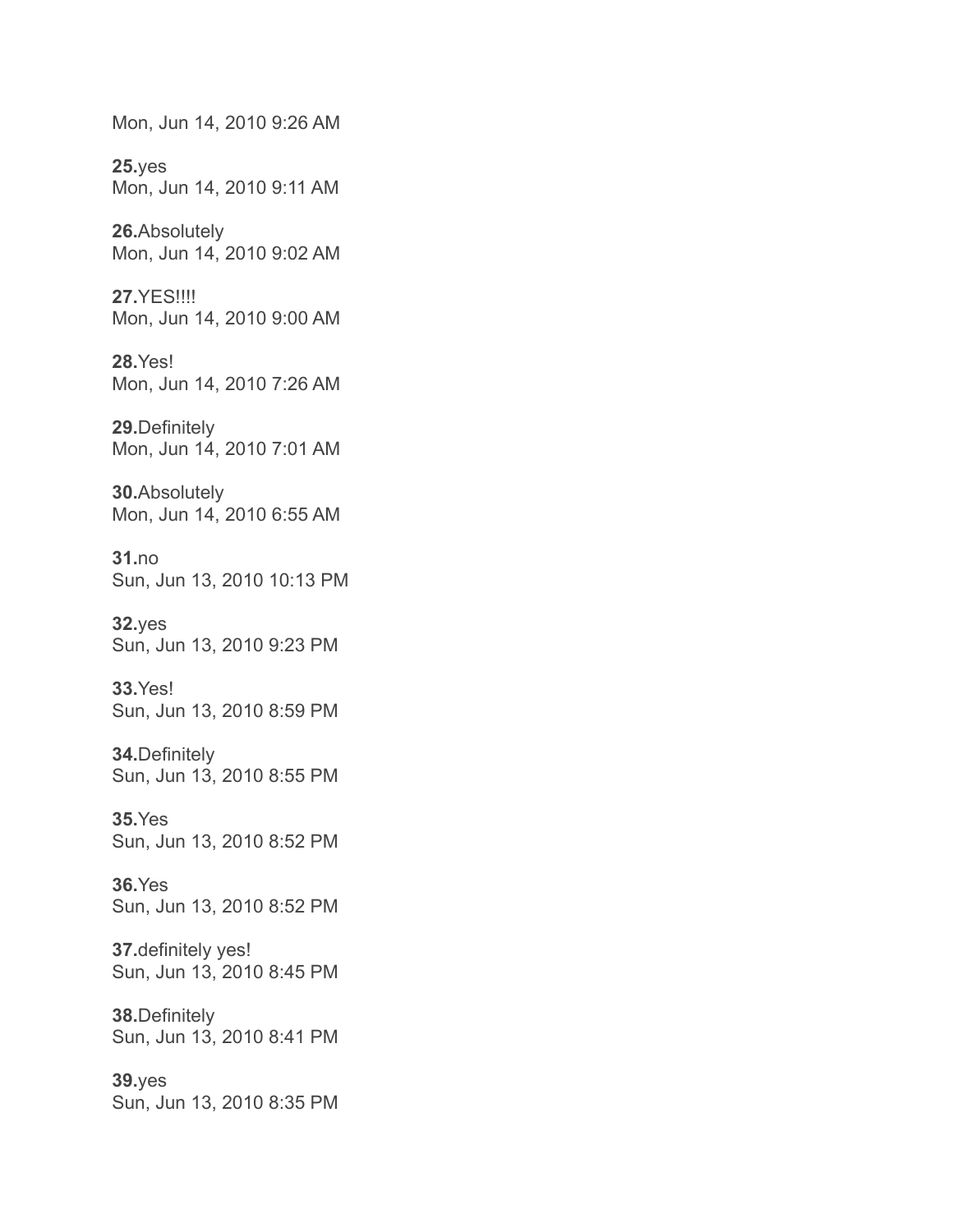Mon, Jun 14, 2010 9:26 AM

**25.**yes Mon, Jun 14, 2010 9:11 AM

**26.**Absolutely Mon, Jun 14, 2010 9:02 AM

**27.**YES!!!! Mon, Jun 14, 2010 9:00 AM

**28.**Yes! Mon, Jun 14, 2010 7:26 AM

**29.**Definitely Mon, Jun 14, 2010 7:01 AM

**30.**Absolutely Mon, Jun 14, 2010 6:55 AM

**31.**no Sun, Jun 13, 2010 10:13 PM

**32.**yes Sun, Jun 13, 2010 9:23 PM

**33.**Yes! Sun, Jun 13, 2010 8:59 PM

**34.**Definitely Sun, Jun 13, 2010 8:55 PM

**35.**Yes Sun, Jun 13, 2010 8:52 PM

**36.**Yes Sun, Jun 13, 2010 8:52 PM

**37.**definitely yes! Sun, Jun 13, 2010 8:45 PM

**38.**Definitely Sun, Jun 13, 2010 8:41 PM

**39.**yes Sun, Jun 13, 2010 8:35 PM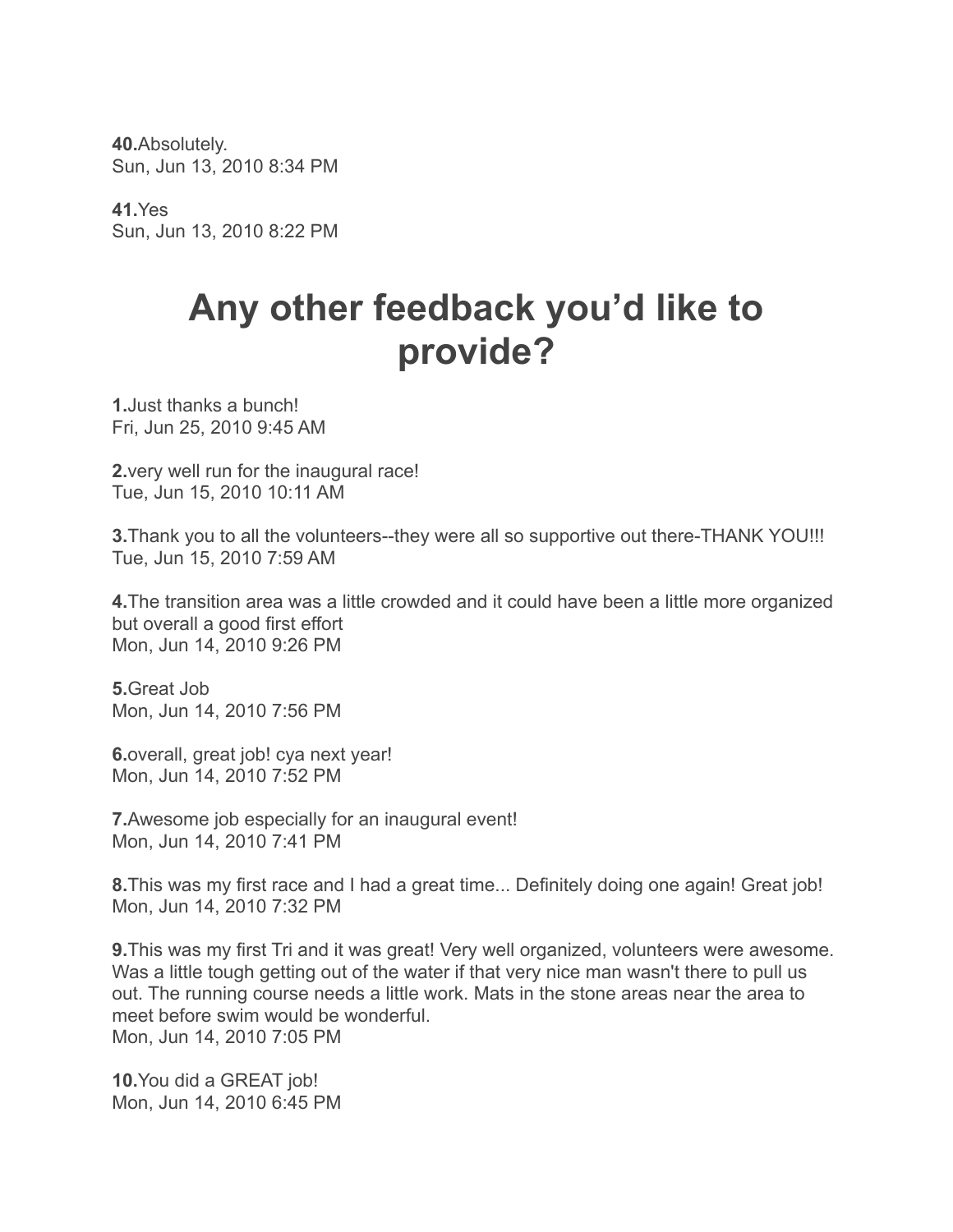**40.**Absolutely. Sun, Jun 13, 2010 8:34 PM

**41.**Yes Sun, Jun 13, 2010 8:22 PM

## **Any other feedback you'd like to provide?**

**1.**Just thanks a bunch! Fri, Jun 25, 2010 9:45 AM

**2.**very well run for the inaugural race! Tue, Jun 15, 2010 10:11 AM

**3.**Thank you to all the volunteers--they were all so supportive out there-THANK YOU!!! Tue, Jun 15, 2010 7:59 AM

**4.**The transition area was a little crowded and it could have been a little more organized but overall a good first effort Mon, Jun 14, 2010 9:26 PM

**5.**Great Job Mon, Jun 14, 2010 7:56 PM

**6.**overall, great job! cya next year! Mon, Jun 14, 2010 7:52 PM

**7.**Awesome job especially for an inaugural event! Mon, Jun 14, 2010 7:41 PM

**8.**This was my first race and I had a great time... Definitely doing one again! Great job! Mon, Jun 14, 2010 7:32 PM

**9.**This was my first Tri and it was great! Very well organized, volunteers were awesome. Was a little tough getting out of the water if that very nice man wasn't there to pull us out. The running course needs a little work. Mats in the stone areas near the area to meet before swim would be wonderful. Mon, Jun 14, 2010 7:05 PM

**10.**You did a GREAT job! Mon, Jun 14, 2010 6:45 PM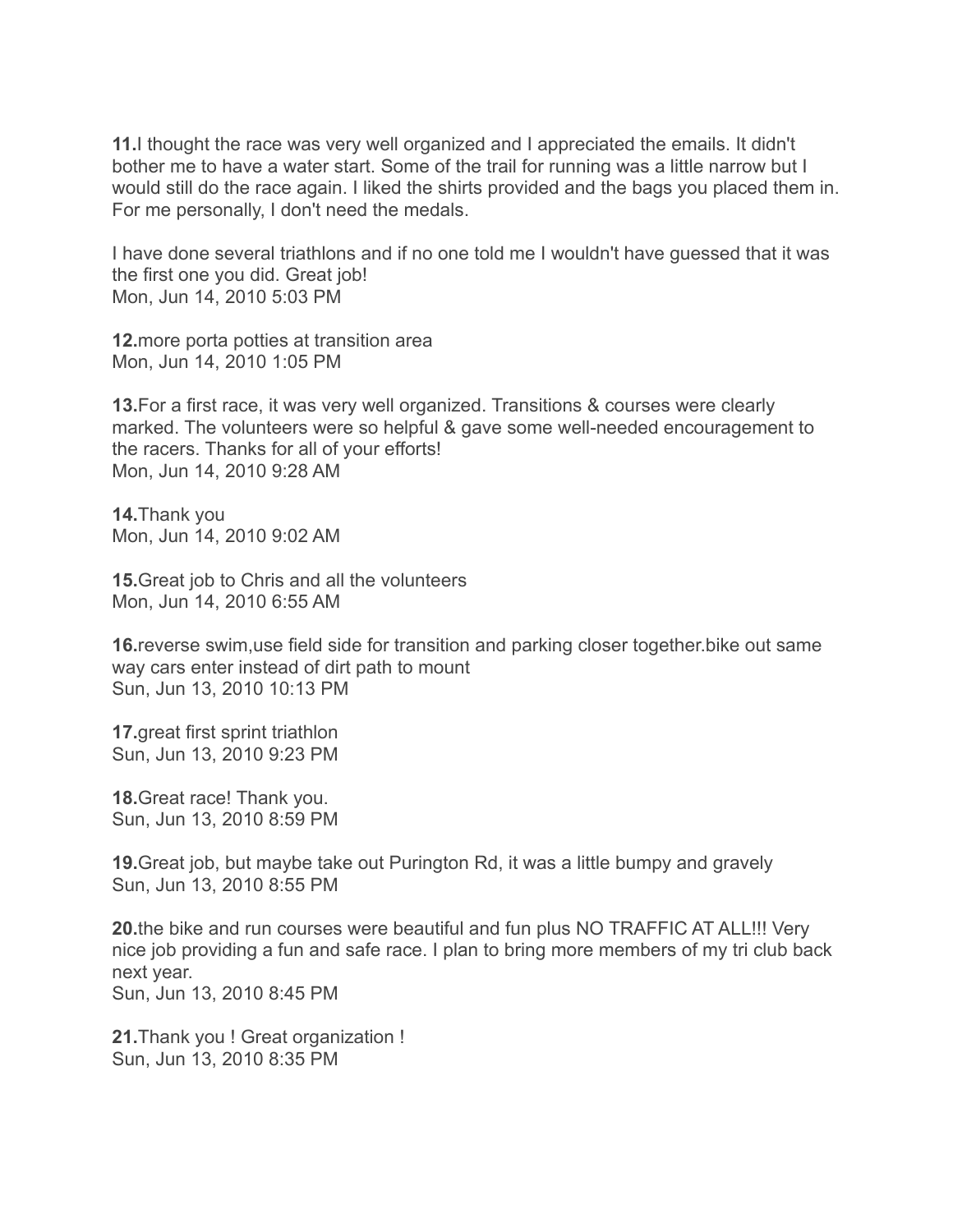**11.**I thought the race was very well organized and I appreciated the emails. It didn't bother me to have a water start. Some of the trail for running was a little narrow but I would still do the race again. I liked the shirts provided and the bags you placed them in. For me personally, I don't need the medals.

I have done several triathlons and if no one told me I wouldn't have guessed that it was the first one you did. Great job! Mon, Jun 14, 2010 5:03 PM

**12.**more porta potties at transition area Mon, Jun 14, 2010 1:05 PM

**13.**For a first race, it was very well organized. Transitions & courses were clearly marked. The volunteers were so helpful & gave some well-needed encouragement to the racers. Thanks for all of your efforts! Mon, Jun 14, 2010 9:28 AM

**14.**Thank you Mon, Jun 14, 2010 9:02 AM

**15.**Great job to Chris and all the volunteers Mon, Jun 14, 2010 6:55 AM

**16.**reverse swim,use field side for transition and parking closer together.bike out same way cars enter instead of dirt path to mount Sun, Jun 13, 2010 10:13 PM

**17.**great first sprint triathlon Sun, Jun 13, 2010 9:23 PM

**18.**Great race! Thank you. Sun, Jun 13, 2010 8:59 PM

**19.**Great job, but maybe take out Purington Rd, it was a little bumpy and gravely Sun, Jun 13, 2010 8:55 PM

**20.**the bike and run courses were beautiful and fun plus NO TRAFFIC AT ALL!!! Very nice job providing a fun and safe race. I plan to bring more members of my tri club back next year. Sun, Jun 13, 2010 8:45 PM

**21.**Thank you ! Great organization ! Sun, Jun 13, 2010 8:35 PM